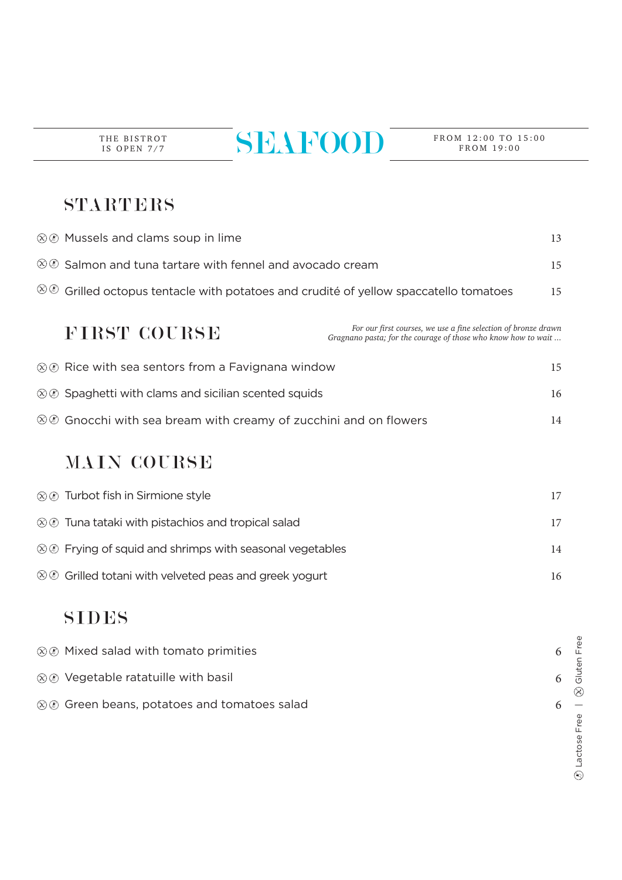THE BISTROT IS OPEN 7/7

# $\overline{\text{SEL1}}$

FROM 19:00

### STARTERS

|                        | ⊗ ® Mussels and clams soup in lime                                                                                                              |    |
|------------------------|-------------------------------------------------------------------------------------------------------------------------------------------------|----|
|                        | $\otimes \otimes$ Salmon and tuna tartare with fennel and avocado cream                                                                         |    |
| $\otimes \circledcirc$ | Grilled octopus tentacle with potatoes and crudité of yellow spaccatello tomatoes                                                               |    |
|                        | For our first courses, we use a fine selection of bronze drawn<br>FIRST COURSE<br>Gragnano pasta; for the courage of those who know how to wait |    |
|                        | $\otimes \otimes$ Rice with sea sentors from a Favignana window                                                                                 | 15 |
|                        | $\otimes \otimes$ Spaghetti with clams and sicilian scented squids                                                                              |    |
|                        | $\otimes\circledast$ Gnocchi with sea bream with creamy of zucchini and on flowers                                                              | 14 |
|                        | <b>MAIN COURSE</b>                                                                                                                              |    |
|                        | $\otimes$ $\otimes$ Turbot fish in Sirmione style                                                                                               | 17 |
|                        | $\otimes \otimes$ Tuna tataki with pistachios and tropical salad                                                                                | 17 |
|                        | $\otimes \otimes$ Frying of squid and shrimps with seasonal vegetables                                                                          | 14 |
|                        | $\otimes \otimes$ Grilled totani with velveted peas and greek yogurt                                                                            | 16 |
|                        |                                                                                                                                                 |    |

#### SIDES

| $\otimes$ Mixed salad with tomato primities                |  |
|------------------------------------------------------------|--|
| $\otimes$ $\otimes$ Vegetable ratatuille with basil        |  |
| $\otimes \otimes$ Green beans, potatoes and tomatoes salad |  |

 $\circledR$  Lactose Free  $\qquad \circledR$  Gluten Free Lactose Free |  $\hat{\infty}$  Gluten Free